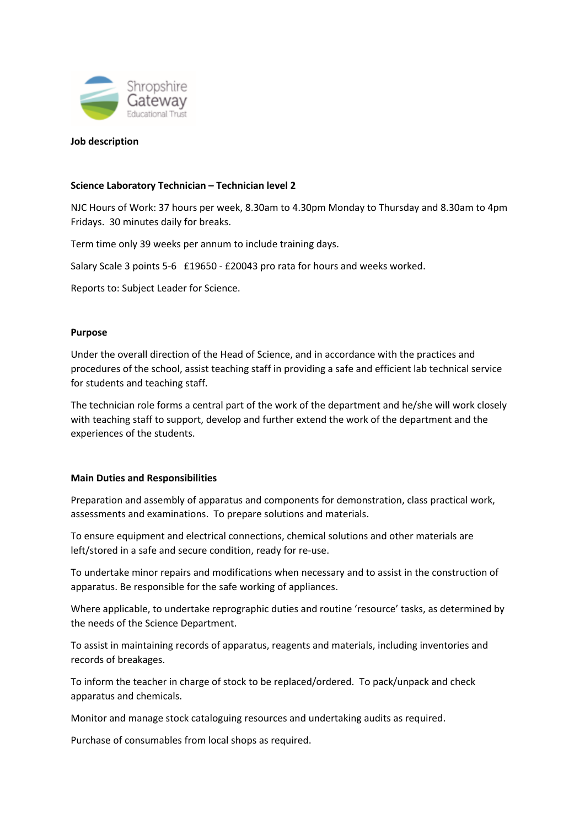

## **Job description**

# **Science Laboratory Technician – Technician level 2**

NJC Hours of Work: 37 hours per week, 8.30am to 4.30pm Monday to Thursday and 8.30am to 4pm Fridays. 30 minutes daily for breaks.

Term time only 39 weeks per annum to include training days.

Salary Scale 3 points 5-6 £19650 - £20043 pro rata for hours and weeks worked.

Reports to: Subject Leader for Science.

## **Purpose**

Under the overall direction of the Head of Science, and in accordance with the practices and procedures of the school, assist teaching staff in providing a safe and efficient lab technical service for students and teaching staff.

The technician role forms a central part of the work of the department and he/she will work closely with teaching staff to support, develop and further extend the work of the department and the experiences of the students.

## **Main Duties and Responsibilities**

Preparation and assembly of apparatus and components for demonstration, class practical work, assessments and examinations. To prepare solutions and materials.

To ensure equipment and electrical connections, chemical solutions and other materials are left/stored in a safe and secure condition, ready for re‐use.

To undertake minor repairs and modifications when necessary and to assist in the construction of apparatus. Be responsible for the safe working of appliances.

Where applicable, to undertake reprographic duties and routine 'resource' tasks, as determined by the needs of the Science Department.

To assist in maintaining records of apparatus, reagents and materials, including inventories and records of breakages.

To inform the teacher in charge of stock to be replaced/ordered. To pack/unpack and check apparatus and chemicals.

Monitor and manage stock cataloguing resources and undertaking audits as required.

Purchase of consumables from local shops as required.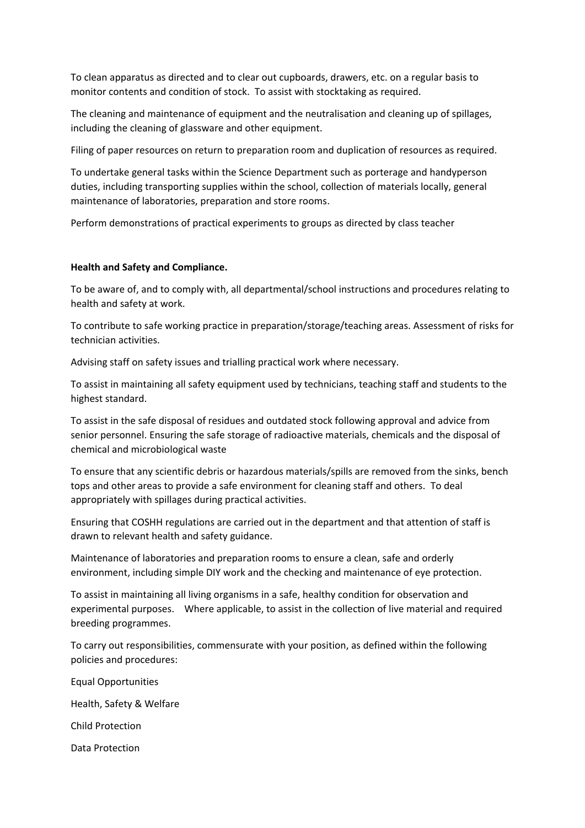To clean apparatus as directed and to clear out cupboards, drawers, etc. on a regular basis to monitor contents and condition of stock. To assist with stocktaking as required.

The cleaning and maintenance of equipment and the neutralisation and cleaning up of spillages, including the cleaning of glassware and other equipment.

Filing of paper resources on return to preparation room and duplication of resources as required.

To undertake general tasks within the Science Department such as porterage and handyperson duties, including transporting supplies within the school, collection of materials locally, general maintenance of laboratories, preparation and store rooms.

Perform demonstrations of practical experiments to groups as directed by class teacher

## **Health and Safety and Compliance.**

To be aware of, and to comply with, all departmental/school instructions and procedures relating to health and safety at work.

To contribute to safe working practice in preparation/storage/teaching areas. Assessment of risks for technician activities.

Advising staff on safety issues and trialling practical work where necessary.

To assist in maintaining all safety equipment used by technicians, teaching staff and students to the highest standard.

To assist in the safe disposal of residues and outdated stock following approval and advice from senior personnel. Ensuring the safe storage of radioactive materials, chemicals and the disposal of chemical and microbiological waste

To ensure that any scientific debris or hazardous materials/spills are removed from the sinks, bench tops and other areas to provide a safe environment for cleaning staff and others. To deal appropriately with spillages during practical activities.

Ensuring that COSHH regulations are carried out in the department and that attention of staff is drawn to relevant health and safety guidance.

Maintenance of laboratories and preparation rooms to ensure a clean, safe and orderly environment, including simple DIY work and the checking and maintenance of eye protection.

To assist in maintaining all living organisms in a safe, healthy condition for observation and experimental purposes. Where applicable, to assist in the collection of live material and required breeding programmes.

To carry out responsibilities, commensurate with your position, as defined within the following policies and procedures:

Equal Opportunities Health, Safety & Welfare Child Protection Data Protection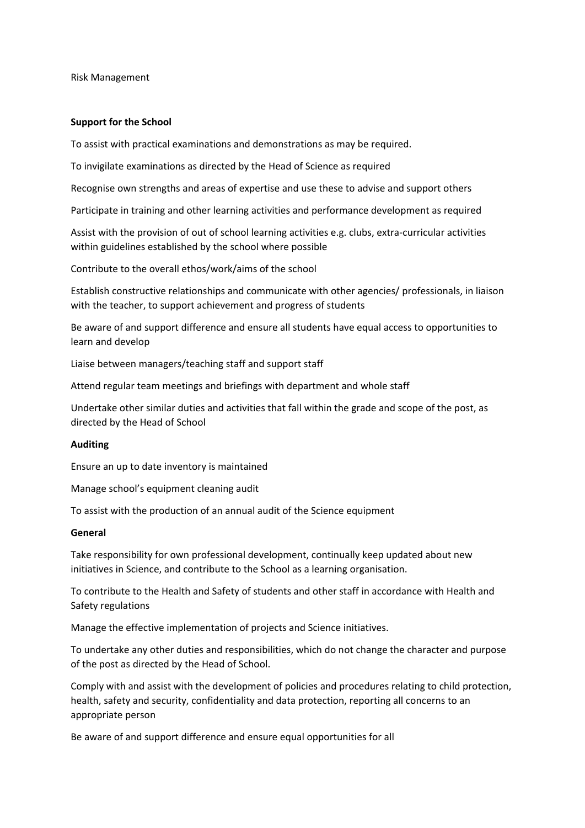Risk Management

### **Support for the School**

To assist with practical examinations and demonstrations as may be required.

To invigilate examinations as directed by the Head of Science as required

Recognise own strengths and areas of expertise and use these to advise and support others

Participate in training and other learning activities and performance development as required

Assist with the provision of out of school learning activities e.g. clubs, extra‐curricular activities within guidelines established by the school where possible

Contribute to the overall ethos/work/aims of the school

Establish constructive relationships and communicate with other agencies/ professionals, in liaison with the teacher, to support achievement and progress of students

Be aware of and support difference and ensure all students have equal access to opportunities to learn and develop

Liaise between managers/teaching staff and support staff

Attend regular team meetings and briefings with department and whole staff

Undertake other similar duties and activities that fall within the grade and scope of the post, as directed by the Head of School

#### **Auditing**

Ensure an up to date inventory is maintained

Manage school's equipment cleaning audit

To assist with the production of an annual audit of the Science equipment

#### **General**

Take responsibility for own professional development, continually keep updated about new initiatives in Science, and contribute to the School as a learning organisation.

To contribute to the Health and Safety of students and other staff in accordance with Health and Safety regulations

Manage the effective implementation of projects and Science initiatives.

To undertake any other duties and responsibilities, which do not change the character and purpose of the post as directed by the Head of School.

Comply with and assist with the development of policies and procedures relating to child protection, health, safety and security, confidentiality and data protection, reporting all concerns to an appropriate person

Be aware of and support difference and ensure equal opportunities for all